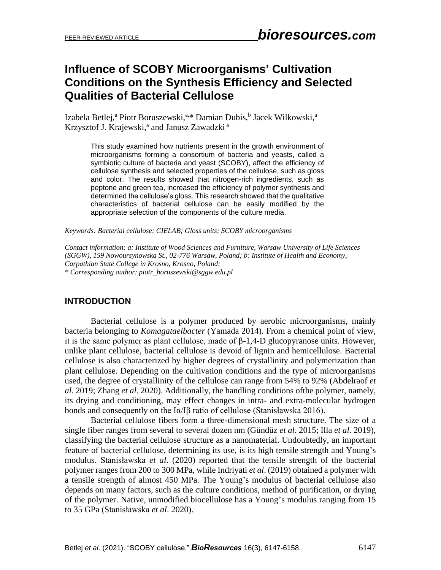# **Influence of SCOBY Microorganisms' Cultivation Conditions on the Synthesis Efficiency and Selected Qualities of Bacterial Cellulose**

Izabela Betlej,<sup>a</sup> Piotr Boruszewski,<sup>a,\*</sup> Damian Dubis,<sup>b</sup> Jacek Wilkowski,<sup>a</sup> Krzysztof J. Krajewski,<sup>a</sup> and Janusz Zawadzki<sup>a</sup>

This study examined how nutrients present in the growth environment of microorganisms forming a consortium of bacteria and yeasts, called a symbiotic culture of bacteria and yeast (SCOBY), affect the efficiency of cellulose synthesis and selected properties of the cellulose, such as gloss and color. The results showed that nitrogen-rich ingredients, such as peptone and green tea, increased the efficiency of polymer synthesis and determined the cellulose's gloss. This research showed that the qualitative characteristics of bacterial cellulose can be easily modified by the appropriate selection of the components of the culture media.

*Keywords: Bacterial cellulose; CIELAB; Gloss units; SCOBY microorganisms*

*Contact information: a: Institute of Wood Sciences and Furniture, Warsaw University of Life Sciences (SGGW), 159 Nowoursynowska St., 02-776 Warsaw, Poland; b: Institute of Health and Economy, Carpathian State College in Krosno, Krosno, Poland; \* Corresponding author: piotr\_boruszewski@sggw.edu.pl*

# **INTRODUCTION**

Bacterial cellulose is a polymer produced by aerobic microorganisms, mainly bacteria belonging to *Komagataeibacter* (Yamada 2014). From a chemical point of view, it is the same polymer as plant cellulose, made of  $\beta$ -1,4-D glucopyranose units. However, unlike plant cellulose, bacterial cellulose is devoid of lignin and hemicellulose. Bacterial cellulose is also characterized by higher degrees of crystallinity and polymerization than plant cellulose. Depending on the cultivation conditions and the type of microorganisms used, the degree of crystallinity of the cellulose can range from 54% to 92% (Abdelraof *et al*. 2019; Zhang *et al*. 2020). Additionally, the handling conditions ofthe polymer, namely, its drying and conditioning, may effect changes in intra- and extra-molecular hydrogen bonds and consequently on the Iα/Iβ ratio of cellulose (Stanisławska 2016).

Bacterial cellulose fibers form a three-dimensional mesh structure. The size of a single fiber ranges from several to several dozen nm (Gündüz *et al*. 2015; Illa *et al*. 2019), classifying the bacterial cellulose structure as a nanomaterial. Undoubtedly, an important feature of bacterial cellulose, determining its use, is its high tensile strength and Young's modulus. Stanisławska *et al*. (2020) reported that the tensile strength of the bacterial polymer ranges from 200 to 300 MPa, while Indriyati *et al*. (2019) obtained a polymer with a tensile strength of almost 450 MPa. The Young's modulus of bacterial cellulose also depends on many factors, such as the culture conditions, method of purification, or drying of the polymer. Native, unmodified biocellulose has a Young's modulus ranging from 15 to 35 GPa (Stanisławska *et al*. 2020).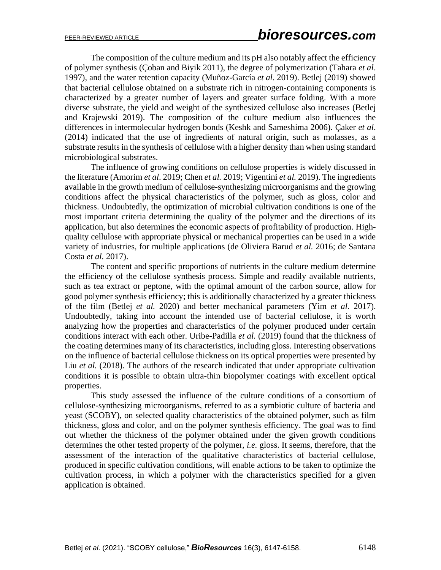The composition of the culture medium and its pH also notably affect the efficiency of polymer synthesis (Çoban and Biyik 2011), the degree of polymerization (Tahara *et al*. 1997), and the water retention capacity (Muñoz-García *et al*. 2019). Betlej (2019) showed that bacterial cellulose obtained on a substrate rich in nitrogen-containing components is characterized by a greater number of layers and greater surface folding. With a more diverse substrate, the yield and weight of the synthesized cellulose also increases (Betlej and Krajewski 2019). The composition of the culture medium also influences the differences in intermolecular hydrogen bonds (Keshk and Sameshima 2006). Çaker *et al*. (2014) indicated that the use of ingredients of natural origin, such as molasses, as a substrate results in the synthesis of cellulose with a higher density than when using standard microbiological substrates.

The influence of growing conditions on cellulose properties is widely discussed in the literature (Amorim *et al*. 2019; Chen *et al.* 2019; Vigentini *et al.* 2019). The ingredients available in the growth medium of cellulose-synthesizing microorganisms and the growing conditions affect the physical characteristics of the polymer, such as gloss, color and thickness. Undoubtedly, the optimization of microbial cultivation conditions is one of the most important criteria determining the quality of the polymer and the directions of its application, but also determines the economic aspects of profitability of production. Highquality cellulose with appropriate physical or mechanical properties can be used in a wide variety of industries, for multiple applications (de Oliviera Barud *et al.* 2016; de Santana Costa *et al.* 2017).

The content and specific proportions of nutrients in the culture medium determine the efficiency of the cellulose synthesis process. Simple and readily available nutrients, such as tea extract or peptone, with the optimal amount of the carbon source, allow for good polymer synthesis efficiency; this is additionally characterized by a greater thickness of the film (Betlej *et al.* 2020) and better mechanical parameters (Yim *et al.* 2017). Undoubtedly, taking into account the intended use of bacterial cellulose, it is worth analyzing how the properties and characteristics of the polymer produced under certain conditions interact with each other. Uribe-Padilla *et al.* (2019) found that the thickness of the coating determines many of its characteristics, including gloss. Interesting observations on the influence of bacterial cellulose thickness on its optical properties were presented by Liu *et al.* (2018). The authors of the research indicated that under appropriate cultivation conditions it is possible to obtain ultra-thin biopolymer coatings with excellent optical properties.

This study assessed the influence of the culture conditions of a consortium of cellulose-synthesizing microorganisms, referred to as a symbiotic culture of bacteria and yeast (SCOBY), on selected quality characteristics of the obtained polymer, such as film thickness, gloss and color, and on the polymer synthesis efficiency. The goal was to find out whether the thickness of the polymer obtained under the given growth conditions determines the other tested property of the polymer, *i.e.* gloss. It seems, therefore, that the assessment of the interaction of the qualitative characteristics of bacterial cellulose, produced in specific cultivation conditions, will enable actions to be taken to optimize the cultivation process, in which a polymer with the characteristics specified for a given application is obtained.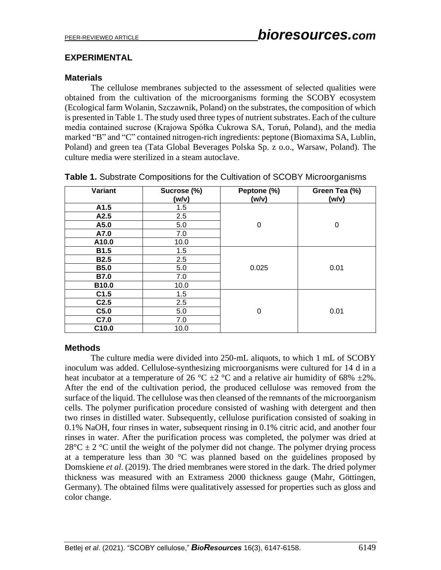## **EXPERIMENTAL**

### **Materials**

The cellulose membranes subjected to the assessment of selected qualities were obtained from the cultivation of the microorganisms forming the SCOBY ecosystem (Ecological farm Wolanin, Szczawnik, Poland) on the substrates, the composition of which is presented in Table 1. The study used three types of nutrient substrates. Each of the culture media contained sucrose (Krajowa Spółka Cukrowa SA, Toruń, Poland), and the media marked "B" and "C" contained nitrogen-rich ingredients: peptone (Biomaxima SA, Lublin, Poland) and green tea (Tata Global Beverages Polska Sp. z o.o., Warsaw, Poland). The culture media were sterilized in a steam autoclave.

| Variant           | Sucrose (%)<br>(w/v) | Peptone (%)<br>(w/v) | Green Tea (%)<br>(w/v) |
|-------------------|----------------------|----------------------|------------------------|
| A1.5              | 1.5                  |                      |                        |
| A2.5              | 2.5                  |                      |                        |
| A5.0              | 5.0                  | 0                    | 0                      |
| A7.0              | 7.0                  |                      |                        |
| A10.0             | 10.0                 |                      |                        |
| <b>B1.5</b>       | 1.5                  |                      |                        |
| <b>B2.5</b>       | 2.5                  |                      |                        |
| <b>B5.0</b>       | 5.0                  | 0.025                | 0.01                   |
| <b>B7.0</b>       | 7.0                  |                      |                        |
| B10.0             | 10.0                 |                      |                        |
| C1.5              | 1.5                  |                      |                        |
| C <sub>2.5</sub>  | 2.5                  |                      |                        |
| C5.0              | 5.0                  | 0                    | 0.01                   |
| C7.0              | 7.0                  |                      |                        |
| C <sub>10.0</sub> | 10.0                 |                      |                        |

|  |  |  | Table 1. Substrate Compositions for the Cultivation of SCOBY Microorganisms |
|--|--|--|-----------------------------------------------------------------------------|
|  |  |  |                                                                             |

#### **Methods**

The culture media were divided into 250-mL aliquots, to which 1 mL of SCOBY inoculum was added. Cellulose-synthesizing microorganisms were cultured for 14 d in a heat incubator at a temperature of 26 °C  $\pm$ 2 °C and a relative air humidity of 68%  $\pm$ 2%. After the end of the cultivation period, the produced cellulose was removed from the surface of the liquid. The cellulose was then cleansed of the remnants of the microorganism cells. The polymer purification procedure consisted of washing with detergent and then two rinses in distilled water. Subsequently, cellulose purification consisted of soaking in 0.1% NaOH, four rinses in water, subsequent rinsing in 0.1% citric acid, and another four rinses in water. After the purification process was completed, the polymer was dried at  $28^{\circ}$ C  $\pm$  2 °C until the weight of the polymer did not change. The polymer drying process at a temperature less than 30  $\degree$ C was planned based on the guidelines proposed by Domskiene *et al*. (2019). The dried membranes were stored in the dark. The dried polymer thickness was measured with an Extramess 2000 thickness gauge (Mahr, Göttingen, Germany). The obtained films were qualitatively assessed for properties such as gloss and color change.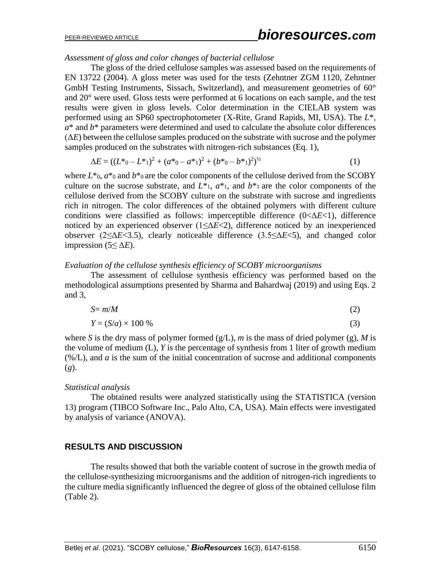*Assessment of gloss and color changes of bacterial cellulose*

The gloss of the dried cellulose samples was assessed based on the requirements of EN 13722 (2004). A gloss meter was used for the tests (Zehntner ZGM 1120, Zehntner GmbH Testing Instruments, Sissach, Switzerland), and measurement geometries of 60° and 20° were used. Gloss tests were performed at 6 locations on each sample, and the test results were given in gloss levels. Color determination in the CIELAB system was performed using an SP60 spectrophotometer (X-Rite, Grand Rapids, MI, USA). The *L*\*,  $a^*$  and  $b^*$  parameters were determined and used to calculate the absolute color differences (Δ*E*) between the cellulose samples produced on the substrate with sucrose and the polymer samples produced on the substrates with nitrogen-rich substances (Eq. 1),

$$
\Delta E = ((L^* \circ -L^* \circ)^2 + (a^* \circ -a^* \circ)^2 + (b^* \circ -b^* \circ)^2)^{1/2}
$$
\n(1)

where  $L^*$ <sub>0</sub>,  $a^*$ <sub>0</sub> and  $b^*$ <sub>0</sub> are the color components of the cellulose derived from the SCOBY culture on the sucrose substrate, and  $L^*$ <sub>1</sub>,  $a^*$ <sub>1</sub>, and  $b^*$ <sub>1</sub> are the color components of the cellulose derived from the SCOBY culture on the substrate with sucrose and ingredients rich in nitrogen. The color differences of the obtained polymers with different culture conditions were classified as follows: imperceptible difference (0<Δ*E*<1), difference noticed by an experienced observer (1≤Δ*E*<2), difference noticed by an inexperienced observer (2≤Δ*E*<3.5), clearly noticeable difference (3.5≤Δ*E*<5), and changed color impression (5 $\leq \Delta E$ ).

#### *Evaluation of the cellulose synthesis efficiency of SCOBY microorganisms*

The assessment of cellulose synthesis efficiency was performed based on the methodological assumptions presented by Sharma and Bahardwaj (2019) and using Eqs. 2 and 3,

$$
S = m/M \tag{2}
$$

$$
Y = (S/a) \times 100\% \tag{3}
$$

where *S* is the dry mass of polymer formed  $(g/L)$ , *m* is the mass of dried polymer (g), *M* is the volume of medium (L), *Y* is the percentage of synthesis from 1 liter of growth medium (%/L), and *a* is the sum of the initial concentration of sucrose and additional components (*g*).

#### *Statistical analysis*

The obtained results were analyzed statistically using the STATISTICA (version 13) program (TIBCO Software Inc., Palo Alto, CA, USA). Main effects were investigated by analysis of variance (ANOVA).

# **RESULTS AND DISCUSSION**

The results showed that both the variable content of sucrose in the growth media of the cellulose-synthesizing microorganisms and the addition of nitrogen-rich ingredients to the culture media significantly influenced the degree of gloss of the obtained cellulose film (Table 2).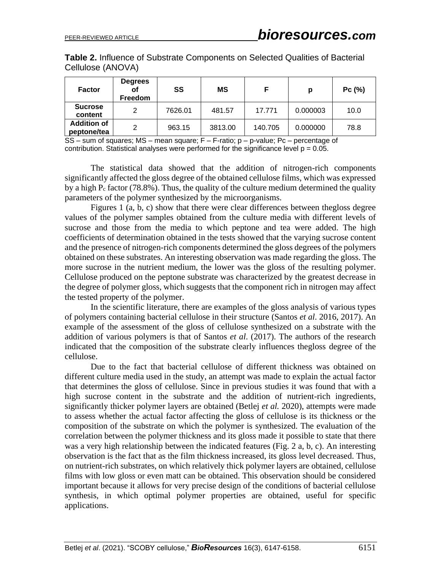**Table 2.** Influence of Substrate Components on Selected Qualities of Bacterial Cellulose (ANOVA)

| <b>Factor</b>                     | <b>Degrees</b><br>οf<br><b>Freedom</b> | SS      | <b>MS</b> | F       | p        | P C (%) |
|-----------------------------------|----------------------------------------|---------|-----------|---------|----------|---------|
| <b>Sucrose</b><br>content         | $\mathcal{P}$                          | 7626.01 | 481.57    | 17.771  | 0.000003 | 10.0    |
| <b>Addition of</b><br>peptone/tea | っ                                      | 963.15  | 3813.00   | 140.705 | 0.000000 | 78.8    |

SS – sum of squares; MS – mean square; F – F-ratio; p – p-value; Pc – percentage of contribution. Statistical analyses were performed for the significance level  $p = 0.05$ .

The statistical data showed that the addition of nitrogen-rich components significantly affected the gloss degree of the obtained cellulose films, which was expressed by a high  $P_c$  factor (78.8%). Thus, the quality of the culture medium determined the quality parameters of the polymer synthesized by the microorganisms.

Figures 1 (a, b, c) show that there were clear differences between thegloss degree values of the polymer samples obtained from the culture media with different levels of sucrose and those from the media to which peptone and tea were added. The high coefficients of determination obtained in the tests showed that the varying sucrose content and the presence of nitrogen-rich components determined the gloss degrees of the polymers obtained on these substrates. An interesting observation was made regarding the gloss. The more sucrose in the nutrient medium, the lower was the gloss of the resulting polymer. Cellulose produced on the peptone substrate was characterized by the greatest decrease in the degree of polymer gloss, which suggests that the component rich in nitrogen may affect the tested property of the polymer.

In the scientific literature, there are examples of the gloss analysis of various types of polymers containing bacterial cellulose in their structure (Santos *et al*. 2016, 2017). An example of the assessment of the gloss of cellulose synthesized on a substrate with the addition of various polymers is that of Santos *et al*. (2017). The authors of the research indicated that the composition of the substrate clearly influences thegloss degree of the cellulose.

Due to the fact that bacterial cellulose of different thickness was obtained on different culture media used in the study, an attempt was made to explain the actual factor that determines the gloss of cellulose. Since in previous studies it was found that with a high sucrose content in the substrate and the addition of nutrient-rich ingredients, significantly thicker polymer layers are obtained (Betlej *et al.* 2020), attempts were made to assess whether the actual factor affecting the gloss of cellulose is its thickness or the composition of the substrate on which the polymer is synthesized. The evaluation of the correlation between the polymer thickness and its gloss made it possible to state that there was a very high relationship between the indicated features (Fig. 2 a, b, c). An interesting observation is the fact that as the film thickness increased, its gloss level decreased. Thus, on nutrient-rich substrates, on which relatively thick polymer layers are obtained, cellulose films with low gloss or even matt can be obtained. This observation should be considered important because it allows for very precise design of the conditions of bacterial cellulose synthesis, in which optimal polymer properties are obtained, useful for specific applications.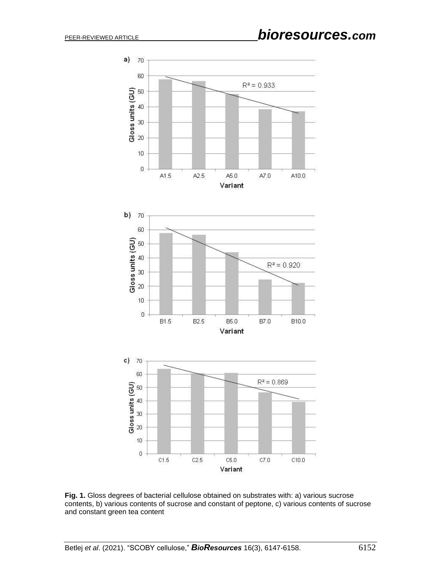

Fig. 1. Gloss degrees of bacterial cellulose obtained on substrates with: a) various sucrose contents, b) various contents of sucrose and constant of peptone, c) various contents of sucrose and constant green tea content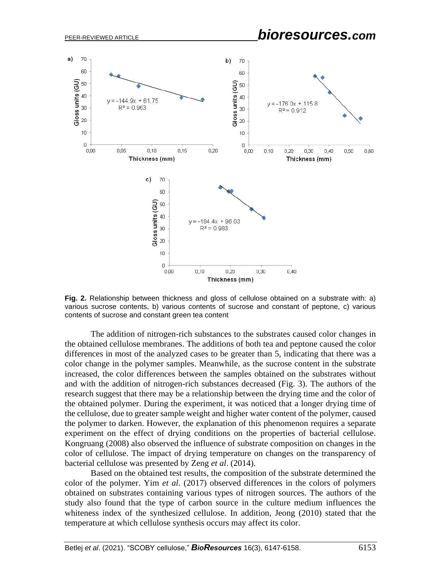

**Fig. 2.** Relationship between thickness and gloss of cellulose obtained on a substrate with: a) various sucrose contents, b) various contents of sucrose and constant of peptone, c) various contents of sucrose and constant green tea content

The addition of nitrogen-rich substances to the substrates caused color changes in the obtained cellulose membranes. The additions of both tea and peptone caused the color differences in most of the analyzed cases to be greater than 5, indicating that there was a color change in the polymer samples. Meanwhile, as the sucrose content in the substrate increased, the color differences between the samples obtained on the substrates without and with the addition of nitrogen-rich substances decreased (Fig. 3). The authors of the research suggest that there may be a relationship between the drying time and the color of the obtained polymer. During the experiment, it was noticed that a longer drying time of the cellulose, due to greater sample weight and higher water content of the polymer, caused the polymer to darken. However, the explanation of this phenomenon requires a separate experiment on the effect of drying conditions on the properties of bacterial cellulose. Kongruang (2008) also observed the influence of substrate composition on changes in the color of cellulose. The impact of drying temperature on changes on the transparency of bacterial cellulose was presented by Zeng *et al*. (2014).

Based on the obtained test results, the composition of the substrate determined the color of the polymer. Yim *et al*. (2017) observed differences in the colors of polymers obtained on substrates containing various types of nitrogen sources. The authors of the study also found that the type of carbon source in the culture medium influences the whiteness index of the synthesized cellulose. In addition, Jeong (2010) stated that the temperature at which cellulose synthesis occurs may affect its color.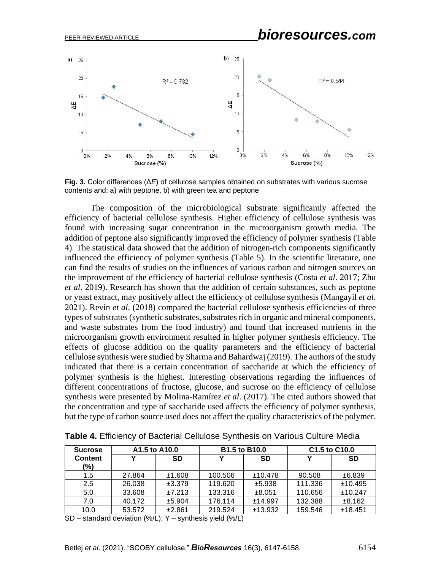

**Fig. 3.** Color differences (Δ*E*) of cellulose samples obtained on substrates with various sucrose contents and: a) with peptone, b) with green tea and peptone

The composition of the microbiological substrate significantly affected the efficiency of bacterial cellulose synthesis. Higher efficiency of cellulose synthesis was found with increasing sugar concentration in the microorganism growth media. The addition of peptone also significantly improved the efficiency of polymer synthesis (Table 4). The statistical data showed that the addition of nitrogen-rich components significantly influenced the efficiency of polymer synthesis (Table 5). In the scientific literature, one can find the results of studies on the influences of various carbon and nitrogen sources on the improvement of the efficiency of bacterial cellulose synthesis (Costa *et al*. 2017; Zhu *et al*. 2019). Research has shown that the addition of certain substances, such as peptone or yeast extract, may positively affect the efficiency of cellulose synthesis (Mangayil *et al*. 2021). Revin *et al*. (2018) compared the bacterial cellulose synthesis efficiencies of three types of substrates (synthetic substrates, substrates rich in organic and mineral components, and waste substrates from the food industry) and found that increased nutrients in the microorganism growth environment resulted in higher polymer synthesis efficiency. The effects of glucose addition on the quality parameters and the efficiency of bacterial cellulose synthesis were studied by Sharma and Bahardwaj (2019). The authors of the study indicated that there is a certain concentration of saccharide at which the efficiency of polymer synthesis is the highest. Interesting observations regarding the influences of different concentrations of fructose, glucose, and sucrose on the efficiency of cellulose synthesis were presented by Molina-Ramírez *et al*. (2017). The cited authors showed that the concentration and type of saccharide used affects the efficiency of polymer synthesis, but the type of carbon source used does not affect the quality characteristics of the polymer.

| <b>Sucrose</b>        | A1.5 to A10.0 |           | <b>B1.5 to B10.0</b> |           | C1.5 to C10.0 |           |
|-----------------------|---------------|-----------|----------------------|-----------|---------------|-----------|
| <b>Content</b><br>(%) |               | <b>SD</b> |                      | <b>SD</b> |               | <b>SD</b> |
| 1.5                   | 27.864        | ±1.608    | 100.506              | ±10.478   | 90.508        | ±6.839    |
| 2.5                   | 26.038        | ±3.379    | 119.620              | ±5.938    | 111.336       | ±10.495   |
| 5.0                   | 33.608        | ±7.213    | 133.316              | ±8.051    | 110.656       | ±10.247   |
| 7.0                   | 40.172        | ±5.904    | 176.114              | ±14.997   | 132.388       | ±8.162    |
| 10.0                  | 53.572        | ±2.861    | 219.524              | ±13.932   | 159.546       | ±18.451   |

**Table 4.** Efficiency of Bacterial Cellulose Synthesis on Various Culture Media

SD – standard deviation (%/L); Y – synthesis yield (%/L)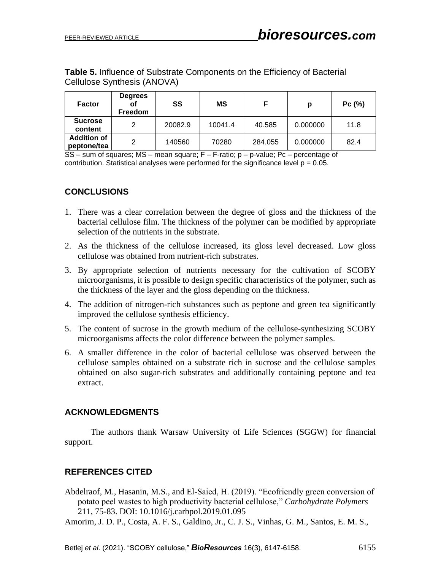| <b>Table 5. Influence of Substrate Components on the Efficiency of Bacterial</b> |  |  |  |
|----------------------------------------------------------------------------------|--|--|--|
| Cellulose Synthesis (ANOVA)                                                      |  |  |  |

| <b>Factor</b>                     | <b>Degrees</b><br>Οf<br><b>Freedom</b> | SS      | МS      | F       | Ŋ        | Pc(%) |
|-----------------------------------|----------------------------------------|---------|---------|---------|----------|-------|
| <b>Sucrose</b><br>content         | 2                                      | 20082.9 | 10041.4 | 40.585  | 0.000000 | 11.8  |
| <b>Addition of</b><br>peptone/tea | っ                                      | 140560  | 70280   | 284.055 | 0.000000 | 82.4  |

SS – sum of squares; MS – mean square; F – F-ratio; p – p-value; Pc – percentage of contribution. Statistical analyses were performed for the significance level  $p = 0.05$ .

## **CONCLUSIONS**

- 1. There was a clear correlation between the degree of gloss and the thickness of the bacterial cellulose film. The thickness of the polymer can be modified by appropriate selection of the nutrients in the substrate.
- 2. As the thickness of the cellulose increased, its gloss level decreased. Low gloss cellulose was obtained from nutrient-rich substrates.
- 3. By appropriate selection of nutrients necessary for the cultivation of SCOBY microorganisms, it is possible to design specific characteristics of the polymer, such as the thickness of the layer and the gloss depending on the thickness.
- 4. The addition of nitrogen-rich substances such as peptone and green tea significantly improved the cellulose synthesis efficiency.
- 5. The content of sucrose in the growth medium of the cellulose-synthesizing SCOBY microorganisms affects the color difference between the polymer samples.
- 6. A smaller difference in the color of bacterial cellulose was observed between the cellulose samples obtained on a substrate rich in sucrose and the cellulose samples obtained on also sugar-rich substrates and additionally containing peptone and tea extract.

#### **ACKNOWLEDGMENTS**

The authors thank Warsaw University of Life Sciences (SGGW) for financial support.

# **REFERENCES CITED**

Abdelraof, M., Hasanin, M.S., and El-Saied, H. (2019). "Ecofriendly green conversion of potato peel wastes to high productivity bacterial cellulose," *Carbohydrate Polymers* 211, 75-83. DOI: 10.1016/j.carbpol.2019.01.095

Amorim, J. D. P., Costa, A. F. S., Galdino, Jr., C. J. S., Vinhas, G. M., Santos, E. M. S.,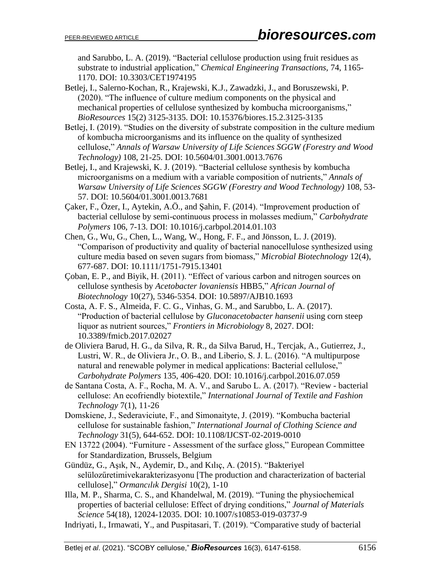and Sarubbo, L. A. (2019). "Bacterial cellulose production using fruit residues as substrate to industrial application," *Chemical Engineering Transactions,* 74, 1165- 1170. DOI: 10.3303/CET1974195

- Betlej, I., Salerno-Kochan, R., Krajewski, K.J., Zawadzki, J., and Boruszewski, P. (2020). "The influence of culture medium components on the physical and mechanical properties of cellulose synthesized by kombucha microorganisms," *BioResources* 15(2) 3125-3135. DOI: 10.15376/biores.15.2.3125-3135
- Betlej, I. (2019). "Studies on the diversity of substrate composition in the culture medium of kombucha microorganisms and its influence on the quality of synthesized cellulose," *Annals of Warsaw University of Life Sciences SGGW (Forestry and Wood Technology)* 108, 21-25. DOI: 10.5604/01.3001.0013.7676
- Betlej, I., and Krajewski, K. J. (2019). "Bacterial cellulose synthesis by kombucha microorganisms on a medium with a variable composition of nutrients," *Annals of Warsaw University of Life Sciences SGGW (Forestry and Wood Technology)* 108, 53- 57. DOI: 10.5604/01.3001.0013.7681
- Çaker, F., Özer, I., Aytekin, A.Ö., and Şahin, F. (2014). "Improvement production of bacterial cellulose by semi-continuous process in molasses medium," *Carbohydrate Polymers* 106, 7-13. DOI: 10.1016/j.carbpol.2014.01.103
- Chen, G., Wu, G., Chen, L., Wang, W., Hong, F. F., and Jönsson, L. J. (2019). "Comparison of productivity and quality of bacterial nanocellulose synthesized using culture media based on seven sugars from biomass," *Microbial Biotechnology* 12(4), 677-687. DOI: 10.1111/1751-7915.13401
- Çoban, E. P., and Biyik, H. (2011). "Effect of various carbon and nitrogen sources on cellulose synthesis by *Acetobacter lovaniensis* HBB5," *African Journal of Biotechnology* 10(27), 5346-5354. DOI: 10.5897/AJB10.1693
- Costa, A. F. S., Almeida, F. C. G., Vinhas, G. M., and Sarubbo, L. A. (2017). "Production of bacterial cellulose by *Gluconacetobacter hansenii* using corn steep liquor as nutrient sources," *Frontiers in Microbiology* 8, 2027. DOI: 10.3389/fmicb.2017.02027
- de Oliviera Barud, H. G., da Silva, R. R., da Silva Barud, H., Tercjak, A., Gutierrez, J., Lustri, W. R., de Oliviera Jr., O. B., and Liberio, S. J. L. (2016). "A multipurpose natural and renewable polymer in medical applications: Bacterial cellulose," *Carbohydrate Polymers* 135, 406-420. DOI: [10.1016/j.carbpol.2016.07.059](https://doi.org/10.1016/j.carbpol.2016.07.059)
- de Santana Costa, A. F., Rocha, M. A. V., and Sarubo L. A. (2017). "Review bacterial cellulose: An ecofriendly biotextile," *International Journal of Textile and Fashion Technology* 7(1), 11-26
- Domskiene, J., Sederaviciute, F., and Simonaityte, J. (2019). "Kombucha bacterial cellulose for sustainable fashion," *International Journal of Clothing Science and Technology* 31(5), 644-652. DOI: 10.1108/IJCST-02-2019-0010
- EN 13722 (2004). "Furniture Assessment of the surface gloss," European Committee for Standardization, Brussels, Belgium
- Gündüz, G., Aşık, N., Aydemir, D., and Kılıç, A. (2015). "Bakteriyel selülozűretimivekarakterizasyonu [The production and characterization of bacterial cellulose]," *Ormancılık Dergisi* 10(2), 1-10
- Illa, M. P., Sharma, C. S., and Khandelwal, M. (2019). "Tuning the physiochemical properties of bacterial cellulose: Effect of drying conditions," *Journal of Materials Science* 54(18), 12024-12035. DOI: 10.1007/s10853-019-03737-9
- Indriyati, I., Irmawati, Y., and Puspitasari, T. (2019). "Comparative study of bacterial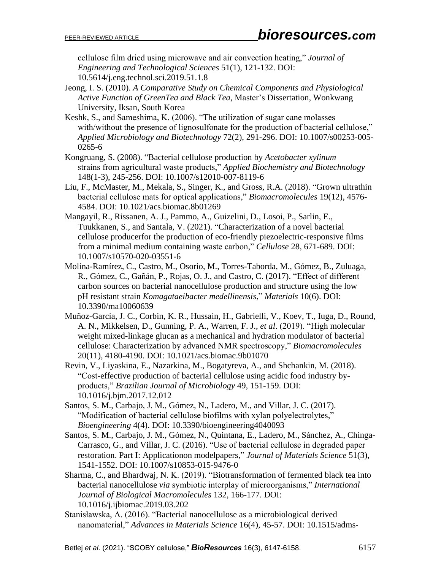cellulose film dried using microwave and air convection heating," *Journal of Engineering and Technological Sciences* 51(1), 121-132. DOI: 10.5614/j.eng.technol.sci.2019.51.1.8

- Jeong, I. S. (2010). *A Comparative Study on Chemical Components and Physiological Active Function of GreenTea and Black Tea*, Master's Dissertation, Wonkwang University, Iksan, South Korea
- Keshk, S., and Sameshima, K. (2006). "The utilization of sugar cane molasses with/without the presence of lignosulfonate for the production of bacterial cellulose," *Applied Microbiology and Biotechnology* 72(2), 291-296. DOI: 10.1007/s00253-005- 0265-6
- Kongruang, S. (2008). "Bacterial cellulose production by *Acetobacter xylinum* strains from agricultural waste products," *Applied Biochemistry and Biotechnology* 148(1-3), 245-256. DOI: 10.1007/s12010-007-8119-6
- Liu, F., McMaster, M., Mekala, S., Singer, K., and Gross, R.A. (2018). "Grown ultrathin bacterial cellulose mats for optical applications," *Biomacromolecules* 19(12), 4576- 4584. DOI: [10.1021/acs.biomac.8b01269](https://doi.org/10.1021/acs.biomac.8b01269)
- Mangayil, R., Rissanen, A. J., Pammo, A., Guizelini, D., Losoi, P., Sarlin, E., Tuukkanen, S., and Santala, V. (2021). "Characterization of a novel bacterial cellulose producerfor the production of eco-friendly piezoelectric-responsive films from a minimal medium containing waste carbon," *Cellulose* 28, 671-689. DOI: 10.1007/s10570-020-03551-6
- Molina-Ramírez, C., Castro, M., Osorio, M., Torres-Taborda, M., Gómez, B., Zuluaga, R., Gómez, C., Gañán, P., Rojas, O. J., and Castro, C. (2017). "Effect of different carbon sources on bacterial nanocellulose production and structure using the low pH resistant strain *Komagataeibacter medellinensis*," *Materials* 10(6). DOI: 10.3390/ma10060639
- Muñoz-García, J. C., Corbin, K. R., Hussain, H., Gabrielli, V., Koev, T., Iuga, D., Round, A. N., Mikkelsen, D., Gunning, P. A., Warren, F. J., *et al*. (2019). "High molecular weight mixed-linkage glucan as a mechanical and hydration modulator of bacterial cellulose: Characterization by advanced NMR spectroscopy," *Biomacromolecules* 20(11), 4180-4190. DOI: 10.1021/acs.biomac.9b01070
- Revin, V., Liyaskina, E., Nazarkina, M., Bogatyreva, A., and Shchankin, M. (2018). "Cost-effective production of bacterial cellulose using acidic food industry byproducts," *Brazilian Journal of Microbiology* 49, 151-159. DOI: 10.1016/j.bjm.2017.12.012
- Santos, S. M., Carbajo, J. M., Gómez, N., Ladero, M., and Villar, J. C. (2017). "Modification of bacterial cellulose biofilms with xylan polyelectrolytes," *Bioengineering* 4(4). DOI: 10.3390/bioengineering4040093
- Santos, S. M., Carbajo, J. M., Gómez, N., Quintana, E., Ladero, M., Sánchez, A., Chinga-Carrasco, G., and Villar, J. C. (2016). "Use of bacterial cellulose in degraded paper restoration. Part I: Applicationon modelpapers," *Journal of Materials Science* 51(3), 1541-1552. DOI: 10.1007/s10853-015-9476-0
- Sharma, C., and Bhardwaj, N. K. (2019). "Biotransformation of fermented black tea into bacterial nanocellulose *via* symbiotic interplay of microorganisms," *International Journal of Biological Macromolecules* 132, 166-177. DOI: 10.1016/j.ijbiomac.2019.03.202
- Stanisławska, A. (2016). "Bacterial nanocellulose as a microbiological derived nanomaterial," *Advances in Materials Science* 16(4), 45-57. DOI: 10.1515/adms-